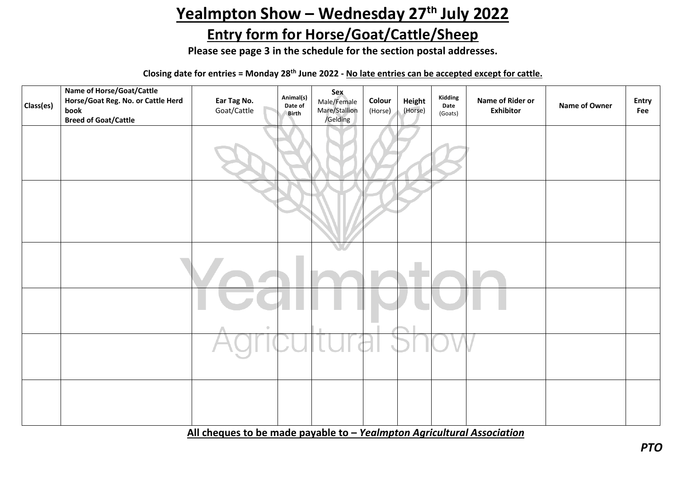## Yealmpton Show - Wednesday 27<sup>th</sup> July 2022

## **Entry form for Horse/Goat/Cattle/Sheep**

**Please see page 3 in the schedule for the section postal addresses.**

**Closing date for entries = Monday 28th June 2022 - No late entries can be accepted except for cattle.**

| Class(es) | Name of Horse/Goat/Cattle<br>Horse/Goat Reg. No. or Cattle Herd<br>book<br><b>Breed of Goat/Cattle</b> | Ear Tag No.<br>Goat/Cattle | Animal(s)<br>Date of<br>Birth | <b>Sex</b><br>Male/Female<br>Mare/Stallion<br>/Gelding | Colour<br>(Horse) | Height<br>(Horse) | Kidding<br>Date<br>(Goats) | Name of Rider or<br><b>Exhibitor</b> | Name of Owner | Entry<br>Fee |
|-----------|--------------------------------------------------------------------------------------------------------|----------------------------|-------------------------------|--------------------------------------------------------|-------------------|-------------------|----------------------------|--------------------------------------|---------------|--------------|
|           |                                                                                                        |                            |                               |                                                        |                   |                   |                            |                                      |               |              |
|           |                                                                                                        |                            |                               |                                                        |                   |                   |                            |                                      |               |              |
|           |                                                                                                        |                            |                               |                                                        |                   |                   |                            |                                      |               |              |
|           |                                                                                                        | $\hfill$                   |                               |                                                        |                   |                   |                            |                                      |               |              |
|           |                                                                                                        |                            |                               |                                                        |                   |                   |                            |                                      |               |              |
|           |                                                                                                        |                            |                               |                                                        |                   |                   |                            |                                      |               |              |

**All cheques to be made payable to –** *Yealmpton Agricultural Association*